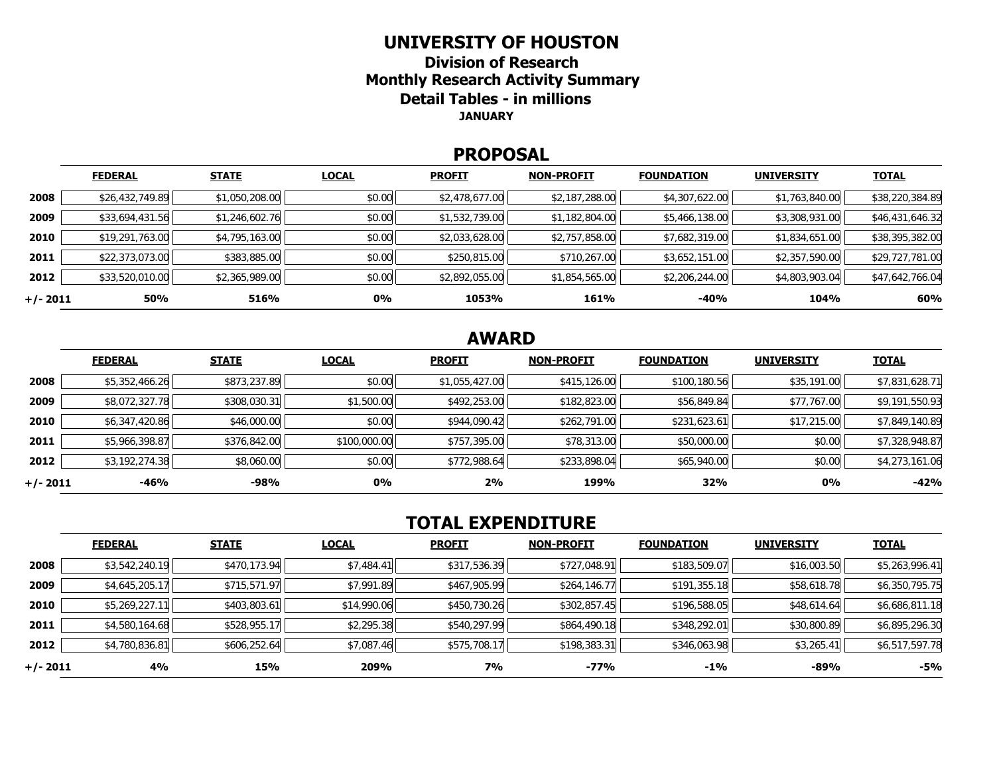#### **UNIVERSITY OF HOUSTON**

**Division of Research Monthly Research Activity Summary Detail Tables - in millions JANUARY** 

#### **PROPOSAL**

|            | <b>FEDERAL</b>  | <b>STATE</b>   | <b>LOCAL</b> | <b>PROFIT</b>  | <b>NON-PROFIT</b> | <b>FOUNDATION</b> | <b>UNIVERSITY</b> | <b>TOTAL</b>    |
|------------|-----------------|----------------|--------------|----------------|-------------------|-------------------|-------------------|-----------------|
| 2008       | \$26,432,749.89 | \$1,050,208.00 | \$0.00       | \$2,478,677.00 | \$2,187,288.00    | \$4,307,622.00    | \$1,763,840.00    | \$38,220,384.89 |
| 2009       | \$33,694,431.56 | \$1,246,602.76 | \$0.00       | \$1,532,739.00 | \$1,182,804.00    | \$5,466,138.00    | \$3,308,931.00    | \$46,431,646.32 |
| 2010       | \$19,291,763.00 | \$4,795,163.00 | \$0.00       | \$2,033,628.00 | \$2,757,858.00    | \$7,682,319.00    | \$1,834,651.00    | \$38,395,382.00 |
| 2011       | \$22,373,073.00 | \$383,885.00   | \$0.00       | \$250,815.00   | \$710,267.00      | \$3,652,151.00    | \$2,357,590.00    | \$29,727,781.00 |
| 2012       | \$33,520,010.00 | \$2,365,989.00 | \$0.00       | \$2,892,055.00 | \$1,854,565.00    | \$2,206,244.00    | \$4,803,903.04    | \$47,642,766.04 |
| $+/- 2011$ | 50%             | 516%           | <b>0%</b>    | 1053%          | 161%              | $-40%$            | 104%              | 60%             |

# **AWARD**

|          | <b>FEDERAL</b> | <b>STATE</b> | <b>LOCAL</b> | <b>PROFIT</b>  | <b>NON-PROFIT</b> | <b>FOUNDATION</b> | <b>UNIVERSITY</b> | <u>TOTAL</u>   |
|----------|----------------|--------------|--------------|----------------|-------------------|-------------------|-------------------|----------------|
| 2008     | \$5,352,466.26 | \$873,237.89 | \$0.00       | \$1,055,427.00 | \$415,126.00      | \$100,180.56      | \$35,191.00       | \$7,831,628.71 |
| 2009     | \$8,072,327.78 | \$308,030.31 | \$1,500.00   | \$492,253.00   | \$182,823.00      | \$56,849.84       | \$77,767.00       | \$9,191,550.93 |
| 2010     | \$6,347,420.86 | \$46,000.00  | \$0.00       | \$944,090.42   | \$262,791.00      | \$231,623.61      | \$17,215.00       | \$7,849,140.89 |
| 2011     | \$5,966,398.87 | \$376,842.00 | \$100,000.00 | \$757,395.00   | \$78,313.00       | \$50,000.00       | \$0.00            | \$7,328,948.87 |
| 2012     | \$3,192,274.38 | \$8,060.00   | \$0.00       | \$772,988.64   | \$233,898.04      | \$65,940.00       | \$0.00            | \$4,273,161.06 |
| +/- 2011 | $-46%$         | $-98%$       | 0%           | 2%             | 199%              | 32%               | 0%                | $-42%$         |

## **TOTAL EXPENDITURE**

|          | <b>FEDERAL</b> | <b>STATE</b> | <b>LOCAL</b> | <b>PROFIT</b> | <b>NON-PROFIT</b> | <b>FOUNDATION</b> | <b>UNIVERSITY</b> | <b>TOTAL</b>   |
|----------|----------------|--------------|--------------|---------------|-------------------|-------------------|-------------------|----------------|
| 2008     | \$3,542,240.19 | \$470,173.94 | \$7,484.41   | \$317,536.39  | \$727,048.91      | \$183,509.07      | \$16,003.50       | \$5,263,996.41 |
| 2009     | \$4,645,205.17 | \$715,571.97 | \$7,991.89   | \$467,905.99  | \$264,146.77      | \$191,355.18      | \$58,618.78       | \$6,350,795.75 |
| 2010     | \$5,269,227.11 | \$403,803.61 | \$14,990.06  | \$450,730.26  | \$302,857.45      | \$196,588.05      | \$48,614.64       | \$6,686,811.18 |
| 2011     | \$4,580,164.68 | \$528,955.17 | \$2,295.38   | \$540,297.99  | \$864,490.18      | \$348,292.01      | \$30,800.89       | \$6,895,296.30 |
| 2012     | \$4,780,836.81 | \$606,252.64 | \$7,087.46   | \$575,708.17  | \$198,383.31      | \$346,063.98      | \$3,265.41        | \$6,517,597.78 |
| +/- 2011 | 4%             | 15%          | 209%         | 7%            | $-77%$            | $-1\%$            | -89%              | -5%            |